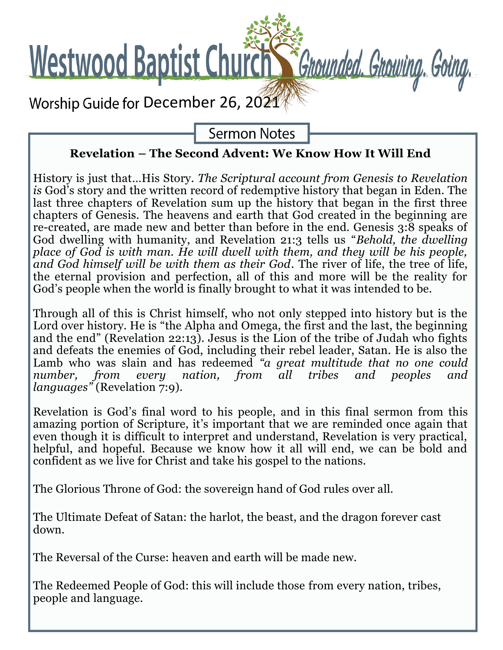

**Sermon Notes** 

## **Revelation – The Second Advent: We Know How It Will End**

History is just that…His Story. *The Scriptural account from Genesis to Revelation is* God's story and the written record of redemptive history that began in Eden. The last three chapters of Revelation sum up the history that began in the first three chapters of Genesis. The heavens and earth that God created in the beginning are re-created, are made new and better than before in the end. Genesis 3:8 speaks of God dwelling with humanity, and Revelation 21:3 tells us "*Behold, the dwelling place of God is with man. He will dwell with them, and they will be his people, and God himself will be with them as their God*. The river of life, the tree of life, the eternal provision and perfection, all of this and more will be the reality for God's people when the world is finally brought to what it was intended to be.

Through all of this is Christ himself, who not only stepped into history but is the Lord over history. He is "the Alpha and Omega, the first and the last, the beginning and the end" (Revelation 22:13). Jesus is the Lion of the tribe of Judah who fights and defeats the enemies of God, including their rebel leader, Satan. He is also the Lamb who was slain and has redeemed *"a great multitude that no one could number, from every nation, from all tribes and peoples and languages"* (Revelation 7:9).

Revelation is God's final word to his people, and in this final sermon from this amazing portion of Scripture, it's important that we are reminded once again that even though it is difficult to interpret and understand, Revelation is very practical, helpful, and hopeful. Because we know how it all will end, we can be bold and confident as we live for Christ and take his gospel to the nations.

The Glorious Throne of God: the sovereign hand of God rules over all.

The Ultimate Defeat of Satan: the harlot, the beast, and the dragon forever cast down.

The Reversal of the Curse: heaven and earth will be made new.

The Redeemed People of God: this will include those from every nation, tribes, people and language.